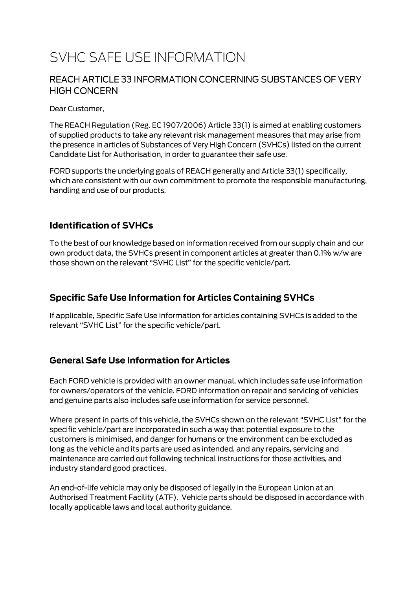# SVHC SAFE USE INFORMATION

#### REACH ARTICLE 33 INFORMATION CONCERNING SUBSTANCES OF VERY **HIGH CONCERN**

Dear Customer,

The REACH Regulation (Reg. EC 1907/2006) Article 33(1) is aimed at enabling customers of supplied products to take any relevant risk management measures that may arise from the presence in articles of Substances of Very High Concern (SVHCs) listed on the current Candidate List for Authorisation, in order to guarantee their safe use.

FORD supports the underlying goals of REACH generally and Article 33(1) specifically, which are consistent with our own commitment to promote the responsible manufacturing, handling and use of our products.

#### **Identification of SVHCs**

To the best of our knowledge based on information received from our supply chain and our own product data, the SVHCs present in component articles at greater than 0.1% w/w are those shown on the relevant "SVHC List" for the specific vehicle/part.

### **Specific Safe Use Information for Articles Containing SVHCs**

If applicable, Specific Safe Use Information for articles containing SVHCs is added to the relevant "SVHC List" for the specific vehicle/part.

#### **General Safe Use Information for Articles**

Each FORD vehicle is provided with an owner manual, which includes safe use information for owners/operators of the vehicle. FORD information on repair and servicing of vehicles and genuine parts also includes safe use information for service personnel.

Where present in parts of this vehicle, the SVHCs shown on the relevant "SVHC List" for the specific vehicle/part are incorporated in such a way that potential exposure to the customers is minimised, and danger for humans or the environment can be excluded as long as the vehicle and its parts are used as intended, and any repairs, servicing and maintenance are carried out following technical instructions for those activities, and industry standard good practices.

An end-of-life vehicle may only be disposed of legally in the European Union at an Authorised Treatment Facility (ATF). Vehicle parts should be disposed in accordance with locally applicable laws and local authority guidance.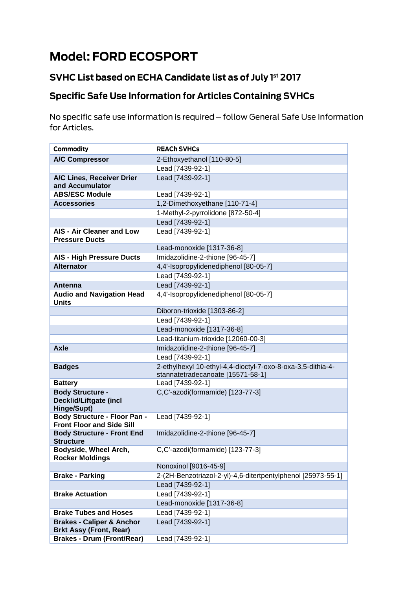# **Model: FORD ECOSPORT**

## SVHC List based on ECHA Candidate list as of July 1st 2017

# **Specific Safe Use Information for Articles Containing SVHCs**

No specific safe use information is required - follow General Safe Use Information for Articles.

| Commodity                                                               | <b>REACH SVHCs</b>                                                                               |
|-------------------------------------------------------------------------|--------------------------------------------------------------------------------------------------|
| <b>A/C Compressor</b>                                                   | 2-Ethoxyethanol [110-80-5]                                                                       |
|                                                                         | Lead [7439-92-1]                                                                                 |
| A/C Lines, Receiver Drier<br>and Accumulator                            | Lead [7439-92-1]                                                                                 |
| <b>ABS/ESC Module</b>                                                   | Lead [7439-92-1]                                                                                 |
| <b>Accessories</b>                                                      | 1,2-Dimethoxyethane [110-71-4]                                                                   |
|                                                                         | 1-Methyl-2-pyrrolidone [872-50-4]                                                                |
|                                                                         | Lead [7439-92-1]                                                                                 |
| AIS - Air Cleaner and Low<br><b>Pressure Ducts</b>                      | Lead [7439-92-1]                                                                                 |
|                                                                         | Lead-monoxide [1317-36-8]                                                                        |
| <b>AIS - High Pressure Ducts</b>                                        | Imidazolidine-2-thione [96-45-7]                                                                 |
| <b>Alternator</b>                                                       | 4,4'-Isopropylidenediphenol [80-05-7]                                                            |
|                                                                         | Lead [7439-92-1]                                                                                 |
| Antenna                                                                 | Lead [7439-92-1]                                                                                 |
| <b>Audio and Navigation Head</b><br><b>Units</b>                        | 4,4'-Isopropylidenediphenol [80-05-7]                                                            |
|                                                                         | Diboron-trioxide [1303-86-2]                                                                     |
|                                                                         | Lead [7439-92-1]                                                                                 |
|                                                                         | Lead-monoxide [1317-36-8]                                                                        |
|                                                                         | Lead-titanium-trioxide [12060-00-3]                                                              |
| <b>Axle</b>                                                             | Imidazolidine-2-thione [96-45-7]                                                                 |
|                                                                         | Lead [7439-92-1]                                                                                 |
| <b>Badges</b>                                                           | 2-ethylhexyl 10-ethyl-4,4-dioctyl-7-oxo-8-oxa-3,5-dithia-4-<br>stannatetradecanoate [15571-58-1] |
| <b>Battery</b>                                                          | Lead [7439-92-1]                                                                                 |
| <b>Body Structure -</b><br><b>Decklid/Liftgate (incl</b><br>Hinge/Supt) | C,C'-azodi(formamide) [123-77-3]                                                                 |
| <b>Body Structure - Floor Pan -</b><br><b>Front Floor and Side Sill</b> | Lead [7439-92-1]                                                                                 |
| <b>Body Structure - Front End</b><br><b>Structure</b>                   | Imidazolidine-2-thione [96-45-7]                                                                 |
| Bodyside, Wheel Arch,<br>Rocker Moldings                                | C,C'-azodi(formamide) [123-77-3]                                                                 |
|                                                                         | Nonoxinol [9016-45-9]                                                                            |
| <b>Brake - Parking</b>                                                  | 2-(2H-Benzotriazol-2-yl)-4,6-ditertpentylphenol [25973-55-1]                                     |
|                                                                         | Lead [7439-92-1]                                                                                 |
| <b>Brake Actuation</b>                                                  | Lead [7439-92-1]                                                                                 |
|                                                                         | Lead-monoxide [1317-36-8]                                                                        |
| <b>Brake Tubes and Hoses</b>                                            | Lead [7439-92-1]                                                                                 |
| <b>Brakes - Caliper &amp; Anchor</b><br><b>Brkt Assy (Front, Rear)</b>  | Lead [7439-92-1]                                                                                 |
| <b>Brakes - Drum (Front/Rear)</b>                                       | Lead [7439-92-1]                                                                                 |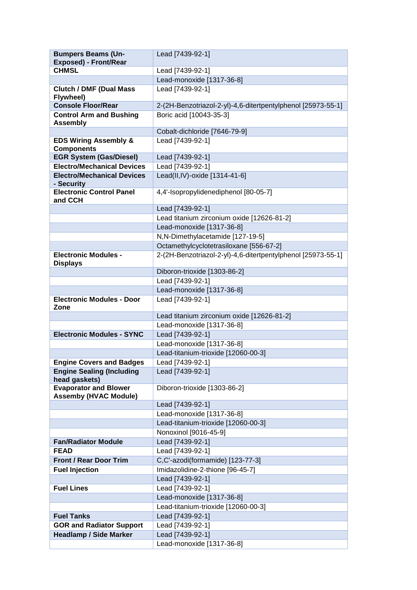| <b>Bumpers Beams (Un-</b>                                    | Lead [7439-92-1]                                             |
|--------------------------------------------------------------|--------------------------------------------------------------|
| <b>Exposed) - Front/Rear</b>                                 |                                                              |
| <b>CHMSL</b>                                                 | Lead [7439-92-1]                                             |
|                                                              | Lead-monoxide [1317-36-8]                                    |
| <b>Clutch / DMF (Dual Mass</b><br>Flywheel)                  | Lead [7439-92-1]                                             |
| <b>Console Floor/Rear</b>                                    | 2-(2H-Benzotriazol-2-yl)-4,6-ditertpentylphenol [25973-55-1] |
| <b>Control Arm and Bushing</b><br><b>Assembly</b>            | Boric acid [10043-35-3]                                      |
|                                                              | Cobalt-dichloride [7646-79-9]                                |
| <b>EDS Wiring Assembly &amp;</b><br><b>Components</b>        | Lead [7439-92-1]                                             |
| <b>EGR System (Gas/Diesel)</b>                               | Lead [7439-92-1]                                             |
| <b>Electro/Mechanical Devices</b>                            | Lead [7439-92-1]                                             |
| <b>Electro/Mechanical Devices</b><br>- Security              | Lead(II, IV)-oxide [1314-41-6]                               |
| <b>Electronic Control Panel</b><br>and CCH                   | 4,4'-Isopropylidenediphenol [80-05-7]                        |
|                                                              | Lead [7439-92-1]                                             |
|                                                              | Lead titanium zirconium oxide [12626-81-2]                   |
|                                                              | Lead-monoxide [1317-36-8]                                    |
|                                                              | N,N-Dimethylacetamide [127-19-5]                             |
|                                                              | Octamethylcyclotetrasiloxane [556-67-2]                      |
| <b>Electronic Modules -</b><br><b>Displays</b>               | 2-(2H-Benzotriazol-2-yl)-4,6-ditertpentylphenol [25973-55-1] |
|                                                              | Diboron-trioxide [1303-86-2]                                 |
|                                                              | Lead [7439-92-1]                                             |
|                                                              | Lead-monoxide [1317-36-8]                                    |
| <b>Electronic Modules - Door</b><br>Zone                     | Lead [7439-92-1]                                             |
|                                                              | Lead titanium zirconium oxide [12626-81-2]                   |
|                                                              | Lead-monoxide [1317-36-8]                                    |
| <b>Electronic Modules - SYNC</b>                             | Lead [7439-92-1]                                             |
|                                                              | Lead-monoxide [1317-36-8]                                    |
|                                                              | Lead-titanium-trioxide [12060-00-3]                          |
| <b>Engine Covers and Badges</b>                              | Lead [7439-92-1]                                             |
| <b>Engine Sealing (Including</b><br>head gaskets)            | Lead [7439-92-1]                                             |
| <b>Evaporator and Blower</b><br><b>Assemby (HVAC Module)</b> | Diboron-trioxide [1303-86-2]                                 |
|                                                              | Lead [7439-92-1]                                             |
|                                                              | Lead-monoxide [1317-36-8]                                    |
|                                                              | Lead-titanium-trioxide [12060-00-3]                          |
|                                                              | Nonoxinol [9016-45-9]                                        |
| <b>Fan/Radiator Module</b>                                   | Lead [7439-92-1]                                             |
| <b>FEAD</b>                                                  | Lead [7439-92-1]                                             |
| <b>Front / Rear Door Trim</b>                                | C,C'-azodi(formamide) [123-77-3]                             |
| <b>Fuel Injection</b>                                        | Imidazolidine-2-thione [96-45-7]                             |
|                                                              | Lead [7439-92-1]                                             |
| <b>Fuel Lines</b>                                            | Lead [7439-92-1]                                             |
|                                                              | Lead-monoxide [1317-36-8]                                    |
|                                                              | Lead-titanium-trioxide [12060-00-3]                          |
| <b>Fuel Tanks</b>                                            | Lead [7439-92-1]                                             |
| <b>GOR and Radiator Support</b>                              | Lead [7439-92-1]                                             |
| <b>Headlamp / Side Marker</b>                                | Lead [7439-92-1]<br>Lead-monoxide [1317-36-8]                |
|                                                              |                                                              |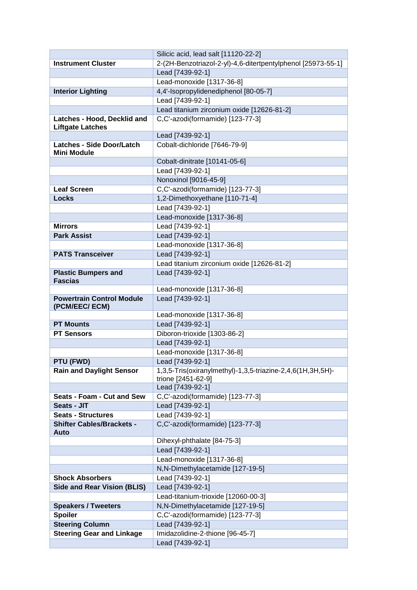|                                                    | Silicic acid, lead salt [11120-22-2]                                             |
|----------------------------------------------------|----------------------------------------------------------------------------------|
| <b>Instrument Cluster</b>                          | 2-(2H-Benzotriazol-2-yl)-4,6-ditertpentylphenol [25973-55-1]                     |
|                                                    | Lead [7439-92-1]                                                                 |
|                                                    | Lead-monoxide [1317-36-8]                                                        |
| <b>Interior Lighting</b>                           | 4,4'-Isopropylidenediphenol [80-05-7]                                            |
|                                                    | Lead [7439-92-1]                                                                 |
|                                                    | Lead titanium zirconium oxide [12626-81-2]                                       |
| Latches - Hood, Decklid and                        | C,C'-azodi(formamide) [123-77-3]                                                 |
| <b>Liftgate Latches</b>                            |                                                                                  |
|                                                    | Lead [7439-92-1]                                                                 |
| <b>Latches - Side Door/Latch</b>                   | Cobalt-dichloride [7646-79-9]                                                    |
| <b>Mini Module</b>                                 | Cobalt-dinitrate [10141-05-6]                                                    |
|                                                    | Lead [7439-92-1]                                                                 |
|                                                    | Nonoxinol [9016-45-9]                                                            |
| <b>Leaf Screen</b>                                 | C,C'-azodi(formamide) [123-77-3]                                                 |
| <b>Locks</b>                                       | 1,2-Dimethoxyethane [110-71-4]                                                   |
|                                                    | Lead [7439-92-1]                                                                 |
|                                                    | Lead-monoxide [1317-36-8]                                                        |
| <b>Mirrors</b>                                     | Lead [7439-92-1]                                                                 |
| <b>Park Assist</b>                                 | Lead [7439-92-1]                                                                 |
|                                                    | Lead-monoxide [1317-36-8]                                                        |
| <b>PATS Transceiver</b>                            | Lead [7439-92-1]                                                                 |
|                                                    | Lead titanium zirconium oxide [12626-81-2]                                       |
| <b>Plastic Bumpers and</b>                         | Lead [7439-92-1]                                                                 |
| <b>Fascias</b>                                     |                                                                                  |
|                                                    | Lead-monoxide [1317-36-8]                                                        |
| <b>Powertrain Control Module</b><br>(PCM/EEC/ ECM) | Lead [7439-92-1]                                                                 |
|                                                    | Lead-monoxide [1317-36-8]                                                        |
| <b>PT Mounts</b>                                   | Lead [7439-92-1]                                                                 |
| <b>PT Sensors</b>                                  | Diboron-trioxide [1303-86-2]                                                     |
|                                                    | Lead [7439-92-1]                                                                 |
|                                                    | Lead-monoxide [1317-36-8]                                                        |
| PTU (FWD)                                          | Lead [7439-92-1]                                                                 |
| <b>Rain and Daylight Sensor</b>                    | 1,3,5-Tris(oxiranylmethyl)-1,3,5-triazine-2,4,6(1H,3H,5H)-<br>trione [2451-62-9] |
|                                                    | Lead [7439-92-1]                                                                 |
| Seats - Foam - Cut and Sew                         | C,C'-azodi(formamide) [123-77-3]                                                 |
| Seats - JIT                                        | Lead [7439-92-1]                                                                 |
| <b>Seats - Structures</b>                          | Lead [7439-92-1]                                                                 |
| <b>Shifter Cables/Brackets -</b><br>Auto           | C,C'-azodi(formamide) [123-77-3]                                                 |
|                                                    | Dihexyl-phthalate [84-75-3]                                                      |
|                                                    | Lead [7439-92-1]                                                                 |
|                                                    | Lead-monoxide [1317-36-8]                                                        |
|                                                    | N,N-Dimethylacetamide [127-19-5]                                                 |
| <b>Shock Absorbers</b>                             | Lead [7439-92-1]                                                                 |
| <b>Side and Rear Vision (BLIS)</b>                 | Lead [7439-92-1]                                                                 |
|                                                    | Lead-titanium-trioxide [12060-00-3]                                              |
| <b>Speakers / Tweeters</b>                         | N,N-Dimethylacetamide [127-19-5]                                                 |
| <b>Spoiler</b>                                     | C,C'-azodi(formamide) [123-77-3]                                                 |
| <b>Steering Column</b>                             | Lead [7439-92-1]                                                                 |
| <b>Steering Gear and Linkage</b>                   | Imidazolidine-2-thione [96-45-7]                                                 |
|                                                    | Lead [7439-92-1]                                                                 |